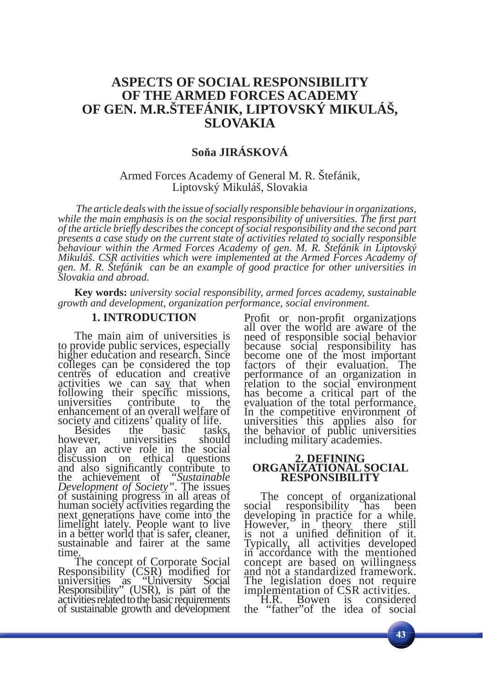# **ASPECTS OF SOCIAL RESPONSIBILITY OF THE ARMED FORCES ACADEMY OF GEN. M.R.ŠTEFÁNIK, LIPTOVSKÝ MIKULÁŠ, SLOVAKIA**

# **Soňa JIRÁSKOVÁ**

### Armed Forces Academy of General M. R. Štefánik, Liptovský Mikuláš, Slovakia

 *The article deals with the issue of socially responsible behaviour in organizations, while the main emphasis is on the social responsibility of universities. The first part of the article briefl y describes the concept of social responsibility and the second part presents a case study on the current state of activities related to socially responsible behaviour within the Armed Forces Academy of gen. M. R. Štefánik in Liptovský Mikuláš. CSR activities which were implemented at the Armed Forces Academy of gen. M. R. Štefánik can be an example of good practice for other universities in Slovakia and abroad.*

**Key words:** *university social responsibility, armed forces academy, sustainable growth and development, organization performance, social environment.*

### **1. INTRODUCTION**

The main aim of universities is to provide public services, especially higher education and research. Since colleges can be considered the top centres of education and creative activities we can say that when following their specific missions, universities contribute to the enhancement of an overall welfare of

society and citizens' quality of life. Besides the basic tasks, however, universities should play an active role in the social discussion on ethical and also significantly contribute to the achievement of *"Sustainable*" *Development of Society"*. The issues of sustaining progress in all areas of human society activities regarding the next generations have come into the limelight lately. People want to live in a better world that is safer, cleaner, sustainable and fairer at the same

time.<br>The concept of Corporate Social The concept of Corporate Social<br>Responsibility (CSR) modified for universities as "University Social Responsibility" (USR), is part of the activities related to the basic requirements of sustainable growth and development

Profit or non-profit organizations all over the world are aware of the need of responsible social behavior because social responsibility has become one of the most important factors of their evaluation. The performance of an organization in relation to the social environment has become a critical part of the evaluation of the total performance. In the competitive environment of universities this applies also for the behavior of public universities including military academies.

#### **2. DEFINING ORGANIZATIONAL SOCIAL RESPONSIBILITY**

The concept of organizational social responsibility has been developing in practice for a while. However, in theory there still is not a unified definition of it. Typically, all activities developed in accordance with the mentioned concept are based on willingness and not a standardized framework. The legislation does not require implementation of CSR activities. H.R. Bowen is considered

the "father"of the idea of social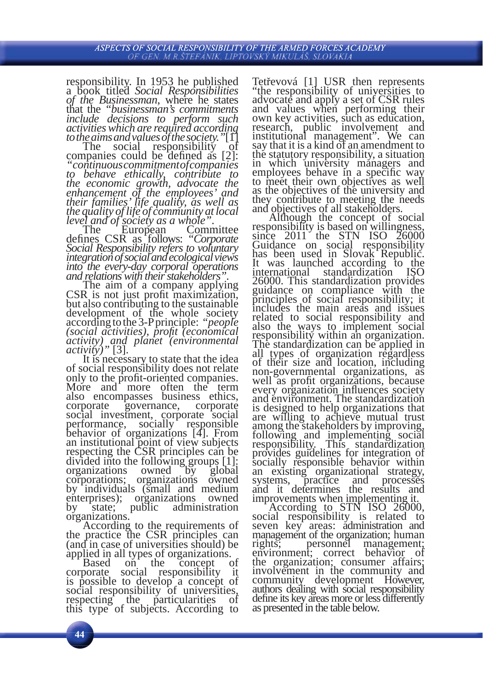responsibility. In 1953 he published<br>a book titled *Social Responsibilities* of the Businessman, where he states that the *"businessman*'s commitments *include decisions to perform such activities which are required according* 

The social responsibility of companies could be defined as [2]:<br>*"continuous commitment of companies* 

*to behave ethically, contribute to the economic growth, advocate the enhancement of the employees' and their families' life quality, as well as the quality of life of community at local level and of society as a whole".*<br>The European Committee

The European Committee defines CSR as follows: *"Corporate Social Responsibility refers to voluntary integration of social and ecological views into the every-day corporal operations* 

*and relations with their stakeholders"*.<br>The aim of a company applying CSR is not just profit maximization, but also contributing to the sustainable development of the whole society according to the 3-P principle: *"people (social activities), profi t (economical activity) and planet (environmental* 

*activity*)" [3].<br>It is necessary to state that the idea<br>of social responsibility does not relate of social responsibility does not relate<br>only to the profit-oriented companies.<br>More and more often the term also encompasses business ethics, governance, social investment, corporate social<br>performance, socially responsible performance, socially behavior of organizations [4]. From an institutional point of view subjects respecting the CSR principles can be divided into the following groups [1]: organizations owned by global organizations owned by global<br>corporations; organizations owned by individuals (small and medium enterprises); organizations owned<br>by state; public administration by state; public administration organizations.

According to the requirements of the practice the CSR principles can (and in case of universities should) be

applied in all types of organizations. Based on the concept of corporate social responsibility it is possible to develop a concept of social responsibility of universities, respecting the particularities of this type of subjects. According to

Tetřevová [1] USR then represents "the responsibility of universities to advocate and apply a set of CSR rules and values when performing their own key activities, such as education, research, public involvement and institutional management". We can say that it is a kind of an amendment to the statutory responsibility, a situation in which university managers and<br>employees behave in a specific way employees behave in a specific way<br>to meet their own objectives as well as the objectives of the university and they contribute to meeting the needs and objectives of all stakeholders.

and objectives of all stakeholders. Although the concept of social responsibility is based on willingness, since  $2011$  the STN ISO  $\frac{50000}{10000}$ Guidance on social responsibility has been used in Slovak Republic. It was launched according to the international standardization ISO 26000. This standardization provides guidance on compliance with the principles of social responsibility; it includes the main areas and issues related to social responsibility and also the ways to implement social responsibility within an organization. The standardization can be applied in all types of organization regardless of their size and location, including non-governmental organizations, as every organization influences society and environment. The standardization is designed to help organizations that are willing to achieve mutual trust among the stakeholders by improving, following and implementing social responsibility. This standardization provides guidelines for integration of socially responsible behavior within an existing organizational strategy, systems, practice and processes systems, practice and it determines the results and

improvements when implementing it.<br>According to STN ISO 26000, social responsibility is related to<br>seven key areas: administration and management of the organization; human<br>rights; personnel management; rights; personnel management; environment; correct behavior of the organization; consumer affairs; involvement in the community and community development However, authors dealing with social responsibility define its key areas more or less differently as presented in the table below.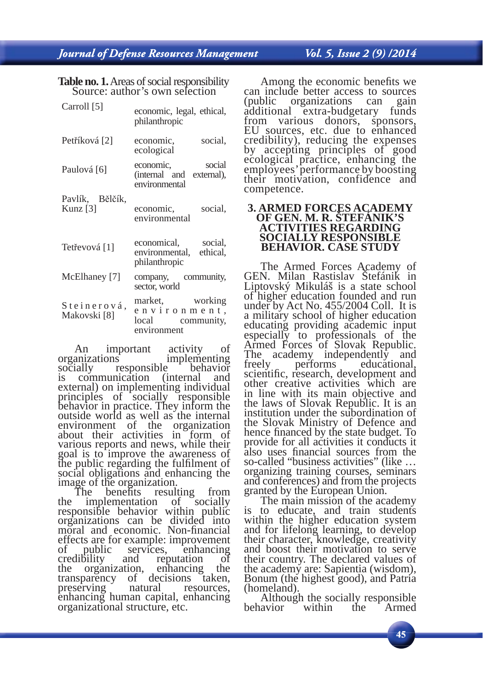## Vol. 5, Issue 2 (9) /2014

**Table no. 1.** Areas of social responsibility Source: author's own selection

| Carroll [5]                   | economic, legal, ethical,<br>philanthropic                         |
|-------------------------------|--------------------------------------------------------------------|
| Petříková [2]                 | social,<br>economic,<br>ecological                                 |
| Paulová [6]                   | economic, social<br>(internal and external),<br>environmental      |
| Pavlík, Bělčík,<br>Kunz $[3]$ | economic,<br>social,<br>environmental                              |
| Tetřevová [1]                 | economical, social,<br>environmental, ethical,<br>philanthropic    |
| McElhaney [7]                 | company, community,<br>sector, world                               |
| Steinerová,<br>Makovski [8]   | market, working<br>environment,<br>local community,<br>environment |

An important activity of organizations implementing<br>socially responsible behavior responsible behavior<br>nication (internal and is communication external) on implementing individual principles of socially responsible behavior in practice. They inform the outside world as well as the internal environment of the organization about their activities in form of various reports and news, while their goal is to improve the awareness of the public regarding the fulfilment of social obligations and enhancing the image of the organization.

The benefits resulting from the implementation of socially responsible behavior within public organizations can be divided into moral and economic. Non-financial effects are for example: improvement<br>of public services, enhancing services, enhancing<br>and reputation of credibility and reputation of<br>the organization, enhancing the organization, transparency of decisions taken,<br>preserving natural resources, preserving natural resources, enhancing human capital, enhancing organizational structure, etc.

Among the economic benefits we can include better access to sources<br>(public organizations can gain organizations additional extra-budgetary funds from various donors, sponsors, EU sources, etc. due to enhanced credibility), reducing the expenses by accepting principles of good ecological practice, enhancing the employees' performance by boosting their motivation, confidence and competence.

## **3. ARMED FORCES ACADEMY OF GEN. M. R. ŠTEFÁNIK'S ACTIVITIES REGARDING SOCIALLY RESPONSIBLE BEHAVIOR. CASE STUDY**

The Armed Forces Academy of GEN. Milan Rastislav Štefánik in Liptovský Mikuláš is a state school of higher education founded and run under by Act No. 455/2004 Coll. It is a military school of higher education educating providing academic input especially to professionals of the Armed Forces of Slovak Republic. The academy independently and<br>freely performs educational, educational, scientific, research, development and other creative activities which are in line with its main objective and the laws of Slovak Republic. It is an institution under the subordination of the Slovak Ministry of Defence and<br>hence financed by the state budget. To provide for all activities it conducts it also uses financial sources from the so-called "business activities" (like ... organizing training courses, seminars and conferences) and from the projects

granted by the European Union. The main mission of the academy is to educate, and train students within the higher education system and for lifelong learning, to develop their character, knowledge, creativity and boost their motivation to serve their country. The declared values of the academy are: Sapientia (wisdom), Bonum (the highest good), and Patria

(homeland). Although the socially responsible behavior within the Armed